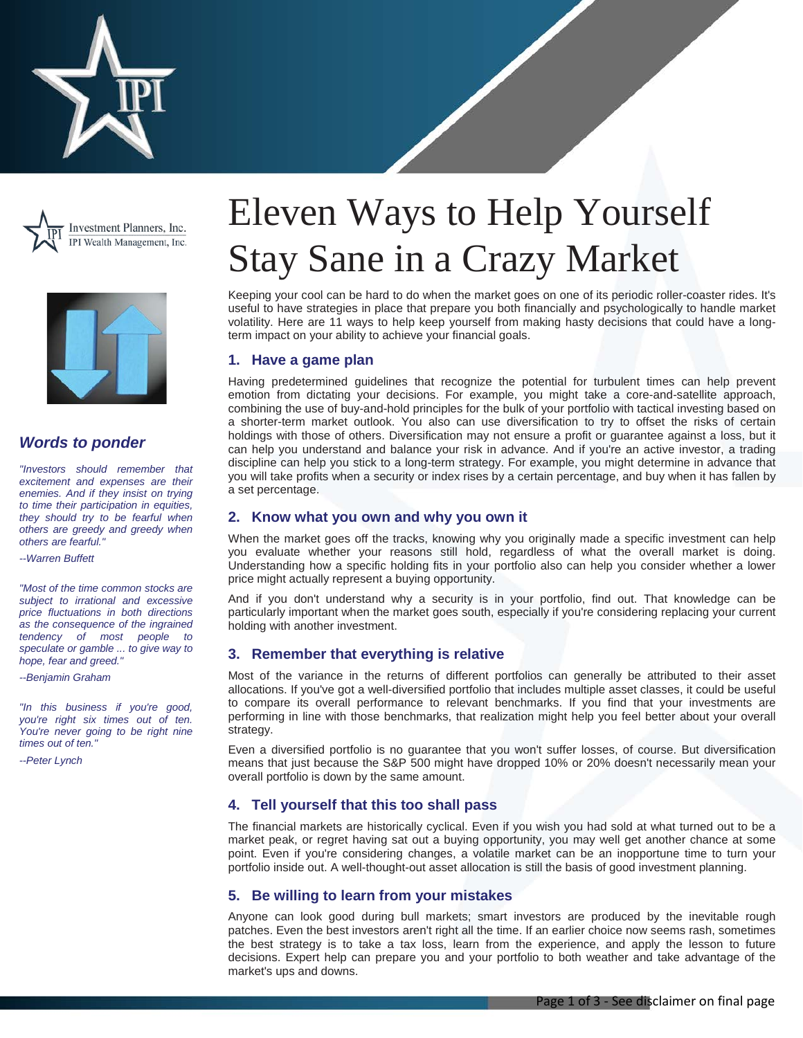





# *Words to ponder*

*"Investors should remember that excitement and expenses are their enemies. And if they insist on trying to time their participation in equities, they should try to be fearful when others are greedy and greedy when others are fearful."*

*--Warren Buffett*

*"Most of the time common stocks are subject to irrational and excessive price fluctuations in both directions as the consequence of the ingrained tendency of most people to speculate or gamble ... to give way to hope, fear and greed."*

*--Benjamin Graham*

*"In this business if you're good, you're right six times out of ten. You're never going to be right nine times out of ten."*

*--Peter Lynch*

# Eleven Ways to Help Yourself Stay Sane in a Crazy Market

Keeping your cool can be hard to do when the market goes on one of its periodic roller-coaster rides. It's useful to have strategies in place that prepare you both financially and psychologically to handle market volatility. Here are 11 ways to help keep yourself from making hasty decisions that could have a longterm impact on your ability to achieve your financial goals.

## **1. Have a game plan**

Having predetermined guidelines that recognize the potential for turbulent times can help prevent emotion from dictating your decisions. For example, you might take a core-and-satellite approach, combining the use of buy-and-hold principles for the bulk of your portfolio with tactical investing based on a shorter-term market outlook. You also can use diversification to try to offset the risks of certain holdings with those of others. Diversification may not ensure a profit or guarantee against a loss, but it can help you understand and balance your risk in advance. And if you're an active investor, a trading discipline can help you stick to a long-term strategy. For example, you might determine in advance that you will take profits when a security or index rises by a certain percentage, and buy when it has fallen by a set percentage.

## **2. Know what you own and why you own it**

When the market goes off the tracks, knowing why you originally made a specific investment can help you evaluate whether your reasons still hold, regardless of what the overall market is doing. Understanding how a specific holding fits in your portfolio also can help you consider whether a lower price might actually represent a buying opportunity.

And if you don't understand why a security is in your portfolio, find out. That knowledge can be particularly important when the market goes south, especially if you're considering replacing your current holding with another investment.

## **3. Remember that everything is relative**

Most of the variance in the returns of different portfolios can generally be attributed to their asset allocations. If you've got a well-diversified portfolio that includes multiple asset classes, it could be useful to compare its overall performance to relevant benchmarks. If you find that your investments are performing in line with those benchmarks, that realization might help you feel better about your overall strategy.

Even a diversified portfolio is no guarantee that you won't suffer losses, of course. But diversification means that just because the S&P 500 might have dropped 10% or 20% doesn't necessarily mean your overall portfolio is down by the same amount.

## **4. Tell yourself that this too shall pass**

The financial markets are historically cyclical. Even if you wish you had sold at what turned out to be a market peak, or regret having sat out a buying opportunity, you may well get another chance at some point. Even if you're considering changes, a volatile market can be an inopportune time to turn your portfolio inside out. A well-thought-out asset allocation is still the basis of good investment planning.

## **5. Be willing to learn from your mistakes**

Anyone can look good during bull markets; smart investors are produced by the inevitable rough patches. Even the best investors aren't right all the time. If an earlier choice now seems rash, sometimes the best strategy is to take a tax loss, learn from the experience, and apply the lesson to future decisions. Expert help can prepare you and your portfolio to both weather and take advantage of the market's ups and downs.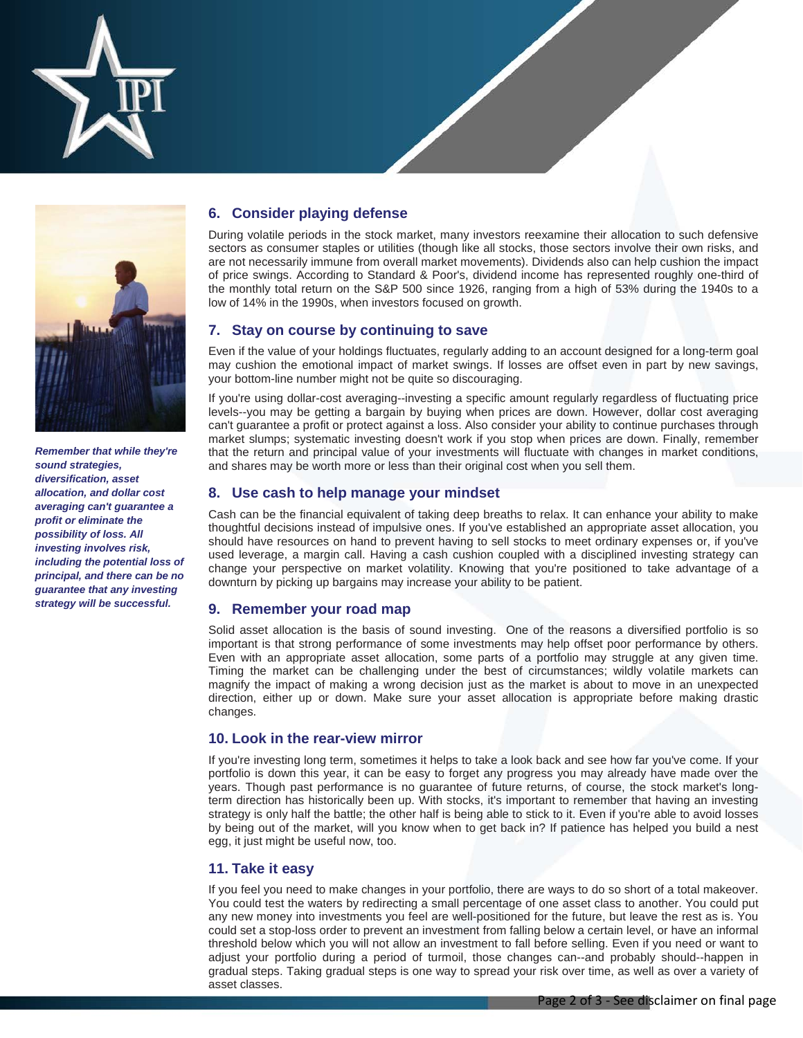



*Remember that while they're sound strategies, diversification, asset allocation, and dollar cost averaging can't guarantee a profit or eliminate the possibility of loss. All investing involves risk, including the potential loss of principal, and there can be no guarantee that any investing strategy will be successful.*

# **6. Consider playing defense**

During volatile periods in the stock market, many investors reexamine their allocation to such defensive sectors as consumer staples or utilities (though like all stocks, those sectors involve their own risks, and are not necessarily immune from overall market movements). Dividends also can help cushion the impact of price swings. According to Standard & Poor's, dividend income has represented roughly one-third of the monthly total return on the S&P 500 since 1926, ranging from a high of 53% during the 1940s to a low of 14% in the 1990s, when investors focused on growth.

## **7. Stay on course by continuing to save**

Even if the value of your holdings fluctuates, regularly adding to an account designed for a long-term goal may cushion the emotional impact of market swings. If losses are offset even in part by new savings, your bottom-line number might not be quite so discouraging.

If you're using dollar-cost averaging--investing a specific amount regularly regardless of fluctuating price levels--you may be getting a bargain by buying when prices are down. However, dollar cost averaging can't guarantee a profit or protect against a loss. Also consider your ability to continue purchases through market slumps; systematic investing doesn't work if you stop when prices are down. Finally, remember that the return and principal value of your investments will fluctuate with changes in market conditions, and shares may be worth more or less than their original cost when you sell them.

## **8. Use cash to help manage your mindset**

Cash can be the financial equivalent of taking deep breaths to relax. It can enhance your ability to make thoughtful decisions instead of impulsive ones. If you've established an appropriate asset allocation, you should have resources on hand to prevent having to sell stocks to meet ordinary expenses or, if you've used leverage, a margin call. Having a cash cushion coupled with a disciplined investing strategy can change your perspective on market volatility. Knowing that you're positioned to take advantage of a downturn by picking up bargains may increase your ability to be patient.

## **9. Remember your road map**

Solid asset allocation is the basis of sound investing. One of the reasons a diversified portfolio is so important is that strong performance of some investments may help offset poor performance by others. Even with an appropriate asset allocation, some parts of a portfolio may struggle at any given time. Timing the market can be challenging under the best of circumstances; wildly volatile markets can magnify the impact of making a wrong decision just as the market is about to move in an unexpected direction, either up or down. Make sure your asset allocation is appropriate before making drastic changes.

## **10. Look in the rear-view mirror**

If you're investing long term, sometimes it helps to take a look back and see how far you've come. If your portfolio is down this year, it can be easy to forget any progress you may already have made over the years. Though past performance is no guarantee of future returns, of course, the stock market's longterm direction has historically been up. With stocks, it's important to remember that having an investing strategy is only half the battle; the other half is being able to stick to it. Even if you're able to avoid losses by being out of the market, will you know when to get back in? If patience has helped you build a nest egg, it just might be useful now, too.

## **11. Take it easy**

If you feel you need to make changes in your portfolio, there are ways to do so short of a total makeover. You could test the waters by redirecting a small percentage of one asset class to another. You could put any new money into investments you feel are well-positioned for the future, but leave the rest as is. You could set a stop-loss order to prevent an investment from falling below a certain level, or have an informal threshold below which you will not allow an investment to fall before selling. Even if you need or want to adjust your portfolio during a period of turmoil, those changes can--and probably should--happen in gradual steps. Taking gradual steps is one way to spread your risk over time, as well as over a variety of asset classes.